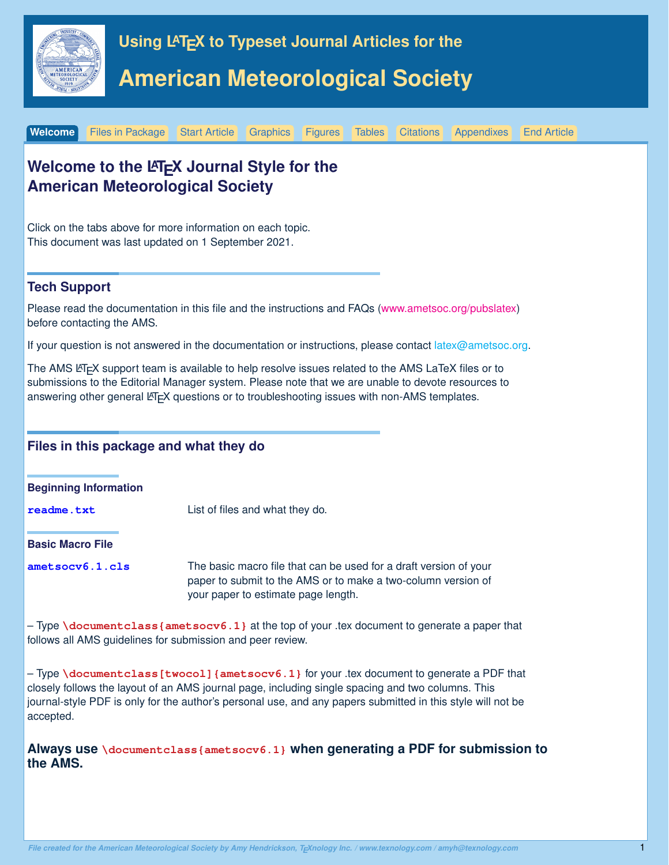<span id="page-0-1"></span><span id="page-0-0"></span>

**[Welcome](#page-0-0)** [Files in Package](#page-1-0) [Start Article](#page-3-0) [Graphics](#page-5-0) [Figures](#page-6-0) [Tables](#page-7-0) [Citations](#page-9-0) [Appendixes](#page-10-0) [End Article](#page-11-0)

| <b>American Meteorological Society</b>              | Welcome to the LATEX Journal Style for the                                                                                                                                                                                                                                                                     |  |  |  |  |  |  |
|-----------------------------------------------------|----------------------------------------------------------------------------------------------------------------------------------------------------------------------------------------------------------------------------------------------------------------------------------------------------------------|--|--|--|--|--|--|
| This document was last updated on 1 September 2021. | Click on the tabs above for more information on each topic.                                                                                                                                                                                                                                                    |  |  |  |  |  |  |
| <b>Tech Support</b>                                 |                                                                                                                                                                                                                                                                                                                |  |  |  |  |  |  |
| before contacting the AMS.                          | Please read the documentation in this file and the instructions and FAQs (www.ametsoc.org/pubslatex)                                                                                                                                                                                                           |  |  |  |  |  |  |
|                                                     | If your question is not answered in the documentation or instructions, please contact latex@ametsoc.org.                                                                                                                                                                                                       |  |  |  |  |  |  |
|                                                     | The AMS LATEX support team is available to help resolve issues related to the AMS LaTeX files or to<br>submissions to the Editorial Manager system. Please note that we are unable to devote resources to<br>answering other general LTEX questions or to troubleshooting issues with non-AMS templates.       |  |  |  |  |  |  |
| Files in this package and what they do              |                                                                                                                                                                                                                                                                                                                |  |  |  |  |  |  |
| <b>Beginning Information</b>                        |                                                                                                                                                                                                                                                                                                                |  |  |  |  |  |  |
| readme.txt                                          | List of files and what they do.                                                                                                                                                                                                                                                                                |  |  |  |  |  |  |
| <b>Basic Macro File</b>                             |                                                                                                                                                                                                                                                                                                                |  |  |  |  |  |  |
| ametsocv6.1.cls                                     | The basic macro file that can be used for a draft version of your<br>paper to submit to the AMS or to make a two-column version of<br>your paper to estimate page length.                                                                                                                                      |  |  |  |  |  |  |
|                                                     | - Type \documentclass {ametsocv6.1} at the top of your .tex document to generate a paper that<br>follows all AMS guidelines for submission and peer review.                                                                                                                                                    |  |  |  |  |  |  |
| accepted.                                           | - Type \documentclass [twocol] {ametsocv6.1} for your .tex document to generate a PDF that<br>closely follows the layout of an AMS journal page, including single spacing and two columns. This<br>journal-style PDF is only for the author's personal use, and any papers submitted in this style will not be |  |  |  |  |  |  |

**Always use \documentclass{ametsocv6.1} when generating a PDF for submission to the AMS.**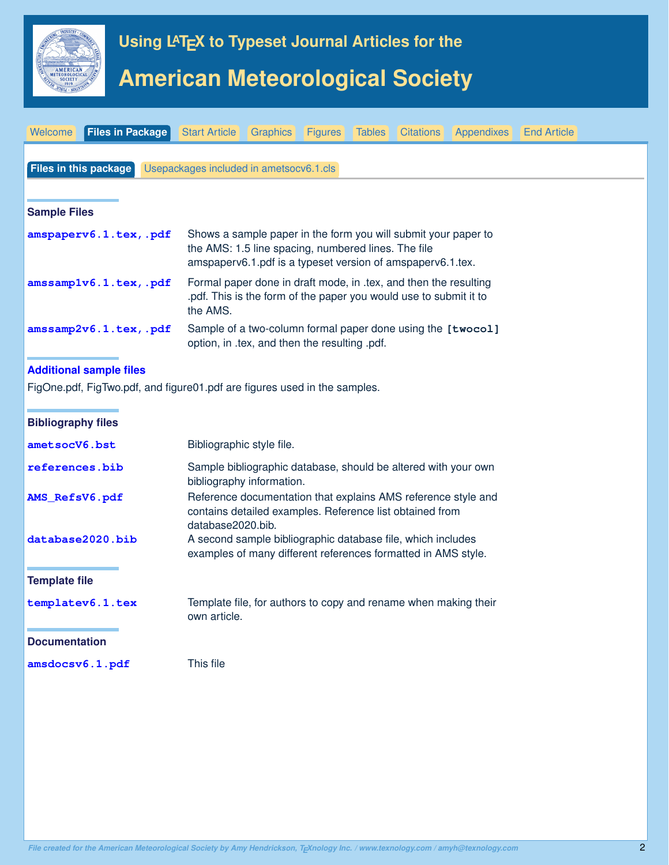<span id="page-1-0"></span>

#### **Documentation**

**amsdocsv6.1.pdf** This file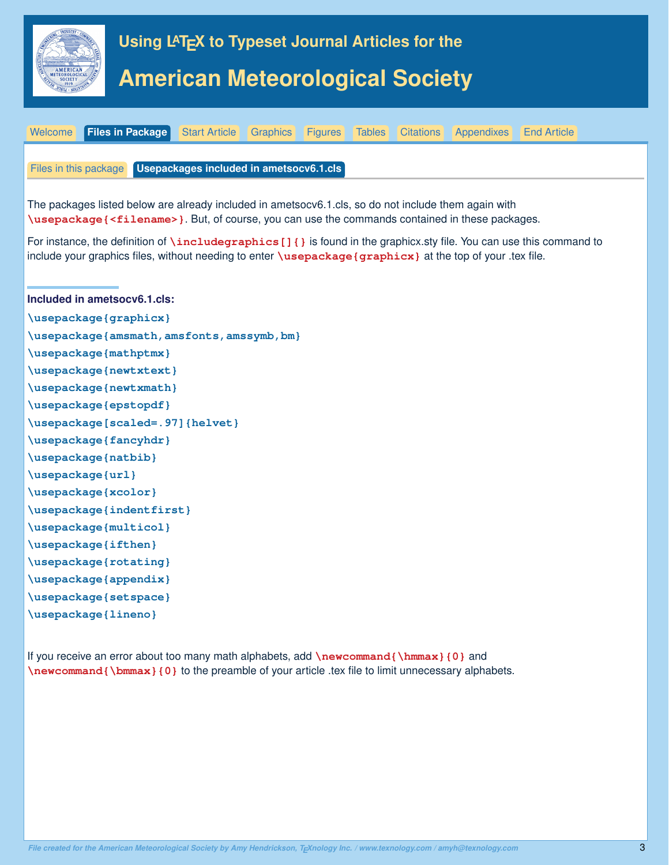<span id="page-2-0"></span>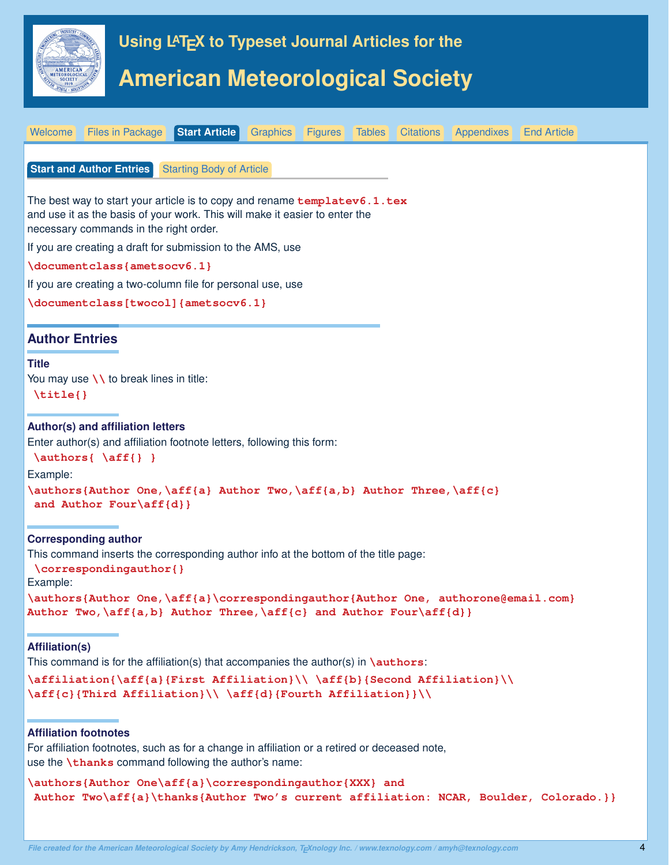<span id="page-3-0"></span>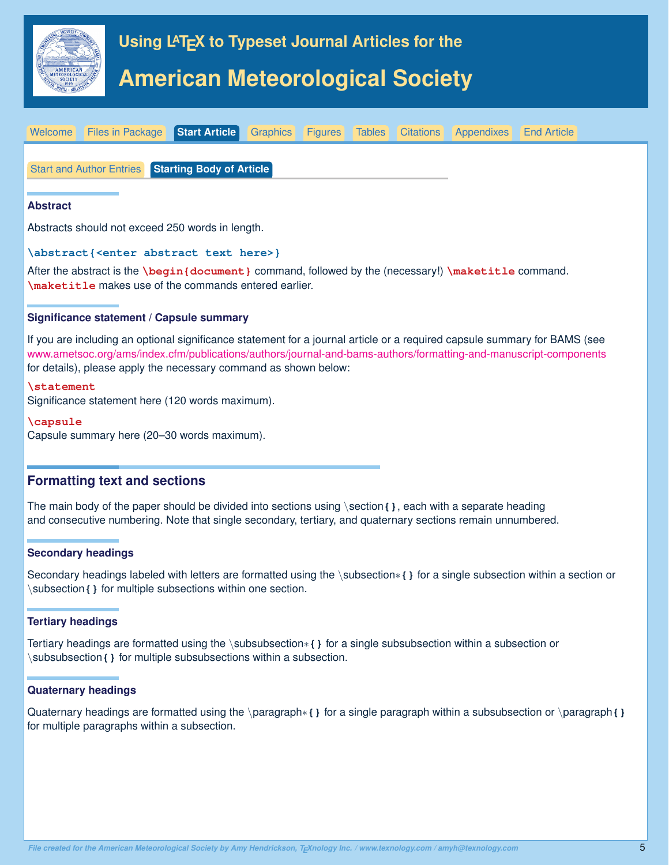<span id="page-4-0"></span>



If you are including an optional significance statement for a journal article or a required capsule summary for BAMS (see [www.ametsoc.org/ams/index.cfm/publications/authors/journal-and-bams-authors/formatting-and-manuscript-components](#page-0-1) for details), please apply the necessary command as shown below:

#### **\statement**

Significance statement here (120 words maximum).

#### **\capsule**

Capsule summary here (20–30 words maximum).

# **Formatting text and sections**

The main body of the paper should be divided into sections using \section**{}**, each with a separate heading and consecutive numbering. Note that single secondary, tertiary, and quaternary sections remain unnumbered.

### **Secondary headings**

Secondary headings labeled with letters are formatted using the \subsection∗**{}** for a single subsection within a section or \subsection**{}** for multiple subsections within one section.

### **Tertiary headings**

Tertiary headings are formatted using the \subsubsection∗**{}** for a single subsubsection within a subsection or \subsubsection**{}** for multiple subsubsections within a subsection.

#### **Quaternary headings**

Quaternary headings are formatted using the \paragraph∗**{}** for a single paragraph within a subsubsection or \paragraph**{}** for multiple paragraphs within a subsection.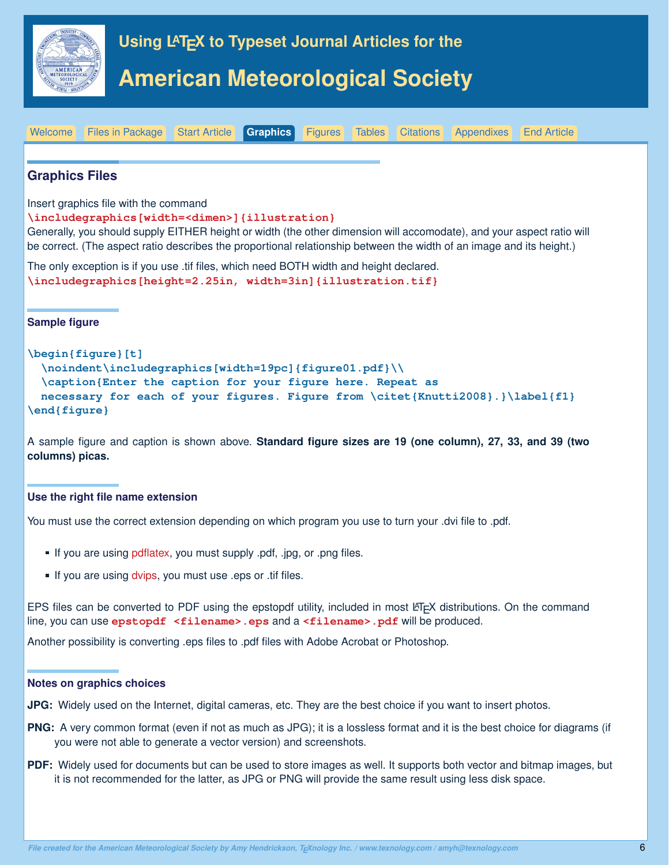<span id="page-5-0"></span>

**Graphics Files**

Insert graphics file with the command

**\includegraphics[width=<dimen>]{illustration}**

Generally, you should supply EITHER height or width (the other dimension will accomodate), and your aspect ratio will be correct. (The aspect ratio describes the proportional relationship between the width of an image and its height.)

[Welcome](#page-0-0) [Files in Package](#page-1-0) [Start Article](#page-3-0) **[Graphics](#page-5-0)** [Figures](#page-6-0) [Tables](#page-7-0) [Citations](#page-9-0) [Appendixes](#page-10-0) [End Article](#page-11-0)

The only exception is if you use .tif files, which need BOTH width and height declared. **\includegraphics[height=2.25in, width=3in]{illustration.tif}**

**Sample figure**

# **\begin{figure}[t] \noindent\includegraphics[width=19pc]{figure01.pdf}\\ \caption{Enter the caption for your figure here. Repeat as necessary for each of your figures. Figure from \citet{Knutti2008}.}\label{f1} \end{figure}**

A sample figure and caption is shown above. **Standard figure sizes are 19 (one column), 27, 33, and 39 (two columns) picas.**

### **Use the right file name extension**

You must use the correct extension depending on which program you use to turn your .dvi file to .pdf.

- If you are using pdflatex, you must supply .pdf, .jpg, or .png files.
- If you are using dvips, you must use .eps or .tif files.

EPS files can be converted to PDF using the epstopdf utility, included in most LATEX distributions. On the command line, you can use **epstopdf** <filename>.eps and a <filename>.pdf will be produced.

Another possibility is converting .eps files to .pdf files with Adobe Acrobat or Photoshop.

#### **Notes on graphics choices**

**JPG:** Widely used on the Internet, digital cameras, etc. They are the best choice if you want to insert photos.

- **PNG:** A very common format (even if not as much as JPG); it is a lossless format and it is the best choice for diagrams (if you were not able to generate a vector version) and screenshots.
- **PDF:** Widely used for documents but can be used to store images as well. It supports both vector and bitmap images, but it is not recommended for the latter, as JPG or PNG will provide the same result using less disk space.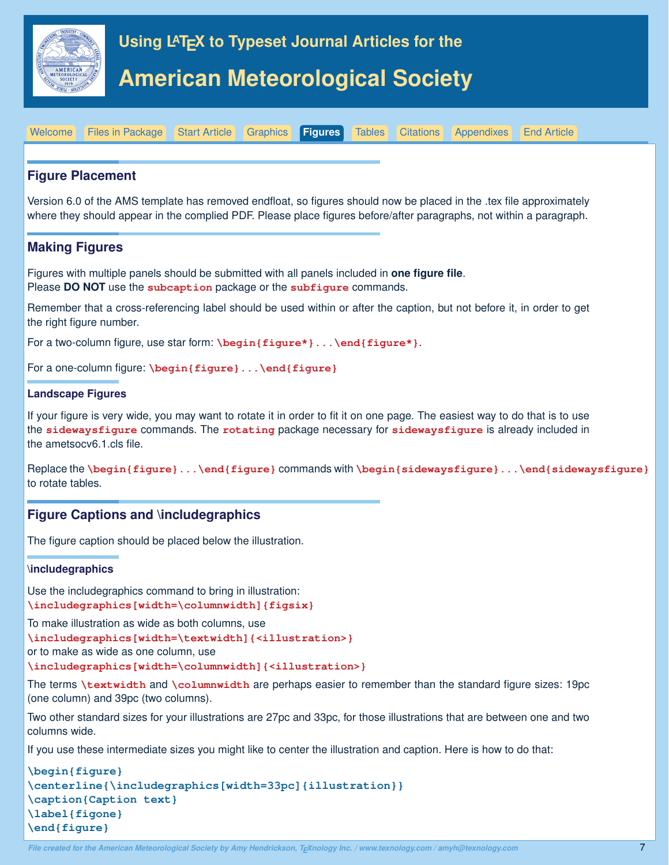<span id="page-6-0"></span>

# **Figure Placement**

Version 6.0 of the AMS template has removed endfloat, so figures should now be placed in the .tex file approximately where they should appear in the complied PDF. Please place figures before/after paragraphs, not within a paragraph.

[Welcome](#page-0-0) [Files in Package](#page-1-0) [Start Article](#page-3-0) [Graphics](#page-5-0) **[Figures](#page-6-0)** [Tables](#page-7-0) [Citations](#page-9-0) [Appendixes](#page-10-0) [End Article](#page-11-0)

# **Making Figures**

Figures with multiple panels should be submitted with all panels included in **one figure file**. Please **DO NOT** use the **subcaption** package or the **subfigure** commands.

Remember that a cross-referencing label should be used within or after the caption, but not before it, in order to get the right figure number.

For a two-column figure, use star form: **\begin{figure\*}...\end{figure\*}**.

For a one-column figure: **\begin{figure}...\end{figure}**

#### **Landscape Figures**

If your figure is very wide, you may want to rotate it in order to fit it on one page. The easiest way to do that is to use the **sidewaysfigure** commands. The **rotating** package necessary for **sidewaysfigure** is already included in the ametsocv6.1.cls file.

Replace the **\begin{figure}...\end{figure}** commands with **\begin{sidewaysfigure}...\end{sidewaysfigure}** to rotate tables.

# **Figure Captions and \includegraphics**

The figure caption should be placed below the illustration.

#### **\includegraphics**

Use the includegraphics command to bring in illustration: **\includegraphics[width=\columnwidth]{figsix}**

To make illustration as wide as both columns, use

**\includegraphics[width=\textwidth]{<illustration>}**

or to make as wide as one column, use

**\includegraphics[width=\columnwidth]{<illustration>}**

The terms **\textwidth** and **\columnwidth** are perhaps easier to remember than the standard figure sizes: 19pc (one column) and 39pc (two columns).

Two other standard sizes for your illustrations are 27pc and 33pc, for those illustrations that are between one and two columns wide.

If you use these intermediate sizes you might like to center the illustration and caption. Here is how to do that:

```
\begin{figure}
\centerline{\includegraphics[width=33pc]{illustration}}
\caption{Caption text}
\label{figone}
\end{figure}
```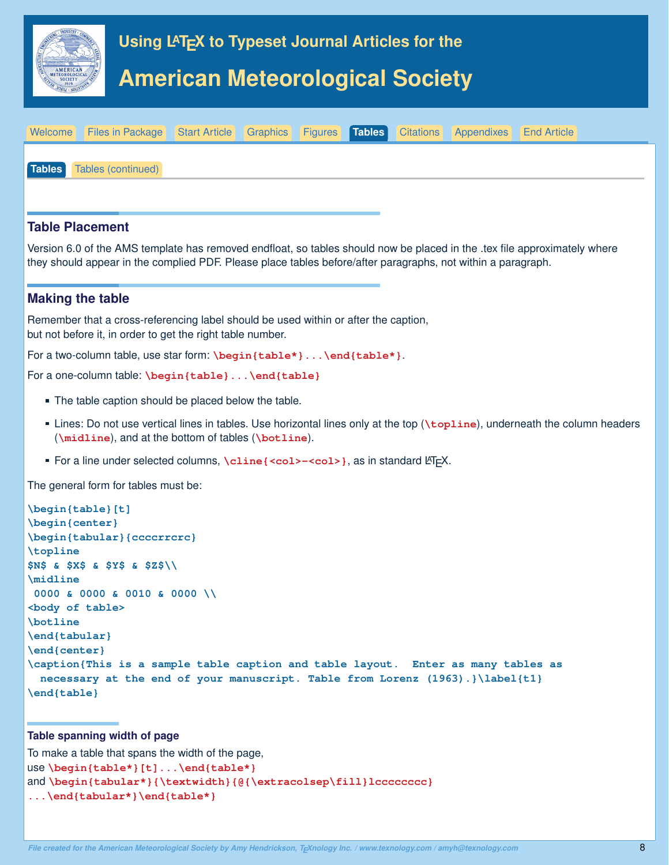<span id="page-7-0"></span>

# **Table Placement**

Version 6.0 of the AMS template has removed endfloat, so tables should now be placed in the .tex file approximately where they should appear in the complied PDF. Please place tables before/after paragraphs, not within a paragraph.

### **Making the table**

Remember that a cross-referencing label should be used within or after the caption, but not before it, in order to get the right table number.

For a two-column table, use star form: \begin{table\*}... \end{table\*}.

```
For a one-column table: \begin{table}...\end{table}
```
- **The table caption should be placed below the table.**
- Lines: Do not use vertical lines in tables. Use horizontal lines only at the top (**\topline**), underneath the column headers (**\midline**), and at the bottom of tables (**\botline**).
- For a line under selected columns, **\cline{<col>-<col>}**, as in standard LTEX.

The general form for tables must be:

```
\begin{table}[t]
\begin{center}
\begin{tabular}{ccccrrcrc}
\topline
$N$ & $X$ & $Y$ & $Z$\\
\midline
 0000 & 0000 & 0010 & 0000 \\
<body of table>
\botline
\end{tabular}
\end{center}
\caption{This is a sample table caption and table layout. Enter as many tables as
  necessary at the end of your manuscript. Table from Lorenz (1963).}\label{t1}
\end{table}
```
### **Table spanning width of page**

```
To make a table that spans the width of the page,
use \begin{table*}[t]...\end{table*}
and \begin{tabular*}{\textwidth}{@{\extracolsep\fill}lcccccccc}
...\end{tabular*}\end{table*}
```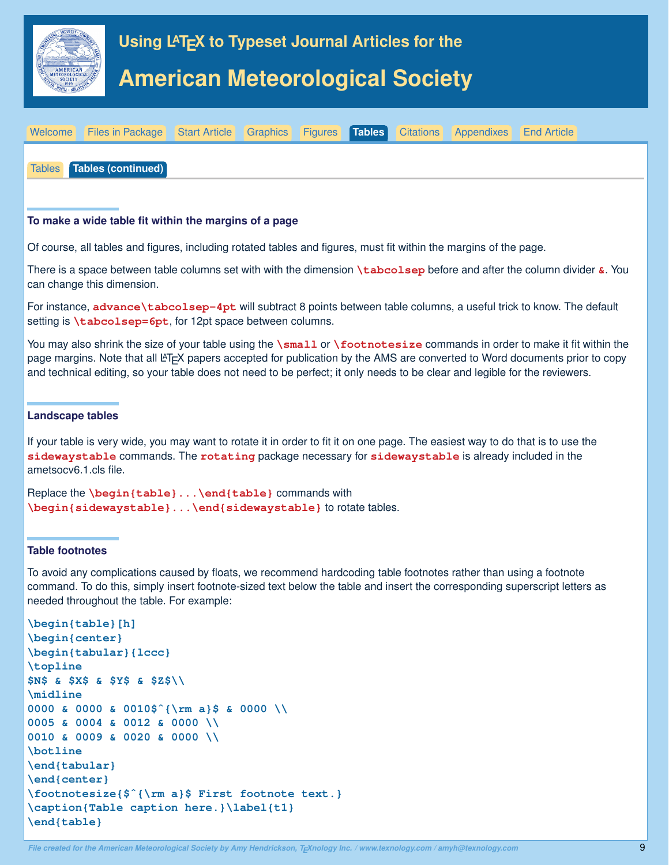<span id="page-8-0"></span>

| Welcome Files in Package Start Article Graphics Figures Tables Citations Appendixes End Article |  |  |  |  |
|-------------------------------------------------------------------------------------------------|--|--|--|--|
|                                                                                                 |  |  |  |  |
| Tables Tables (continued)                                                                       |  |  |  |  |
|                                                                                                 |  |  |  |  |

# **To make a wide table fit within the margins of a page**

Of course, all tables and figures, including rotated tables and figures, must fit within the margins of the page.

There is a space between table columns set with with the dimension **\tabcolsep** before and after the column divider **&**. You can change this dimension.

For instance, **advance\tabcolsep-4pt** will subtract 8 points between table columns, a useful trick to know. The default setting is **\tabcolsep=6pt**, for 12pt space between columns.

You may also shrink the size of your table using the **\small** or **\footnotesize** commands in order to make it fit within the page margins. Note that all LATEX papers accepted for publication by the AMS are converted to Word documents prior to copy and technical editing, so your table does not need to be perfect; it only needs to be clear and legible for the reviewers.

### **Landscape tables**

If your table is very wide, you may want to rotate it in order to fit it on one page. The easiest way to do that is to use the **sidewaystable** commands. The **rotating** package necessary for **sidewaystable** is already included in the ametsocv6.1.cls file.

```
Replace the \begin{table}...\end{table} commands with
\begin{sidewaystable}...\end{sidewaystable} to rotate tables.
```
### **Table footnotes**

To avoid any complications caused by floats, we recommend hardcoding table footnotes rather than using a footnote command. To do this, simply insert footnote-sized text below the table and insert the corresponding superscript letters as needed throughout the table. For example:

```
\begin{table}[h]
\begin{center}
\begin{tabular}{lccc}
\topline
$N$ & $X$ & $Y$ & $Z$\\
\midline
0000 & 0000 & 0010$ˆ{\rm a}$ & 0000 \\
0005 & 0004 & 0012 & 0000 \\
0010 & 0009 & 0020 & 0000 \\
\botline
\end{tabular}
\end{center}
\footnotesize{$ˆ{\rm a}$ First footnote text.}
\caption{Table caption here.}\label{t1}
\end{table}
```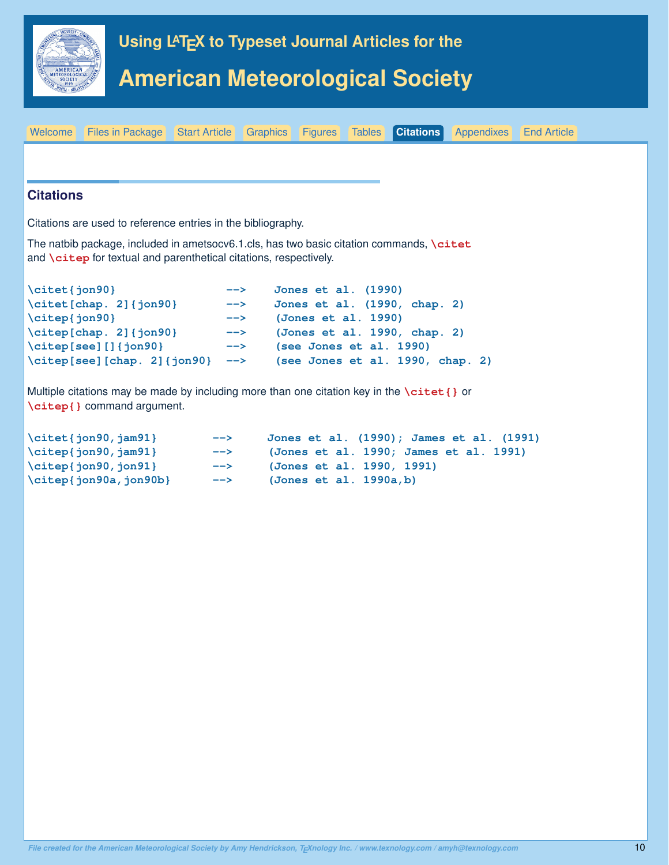<span id="page-9-0"></span>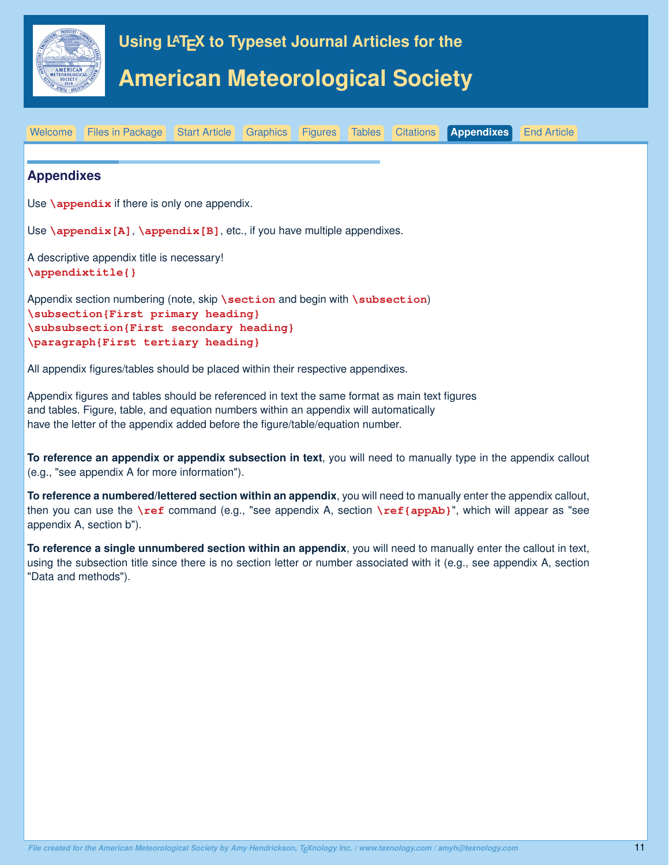<span id="page-10-0"></span>

Appendix section numbering (note, skip **\section** and begin with **\subsection**) **\subsection{First primary heading} \subsubsection{First secondary heading} \paragraph{First tertiary heading}**

All appendix figures/tables should be placed within their respective appendixes.

Appendix figures and tables should be referenced in text the same format as main text figures and tables. Figure, table, and equation numbers within an appendix will automatically have the letter of the appendix added before the figure/table/equation number.

**To reference an appendix or appendix subsection in text**, you will need to manually type in the appendix callout (e.g., "see appendix A for more information").

**To reference a numbered/lettered section within an appendix**, you will need to manually enter the appendix callout, then you can use the **\ref** command (e.g., "see appendix A, section **\ref{appAb}**", which will appear as "see appendix A, section b").

**To reference a single unnumbered section within an appendix**, you will need to manually enter the callout in text, using the subsection title since there is no section letter or number associated with it (e.g., see appendix A, section "Data and methods").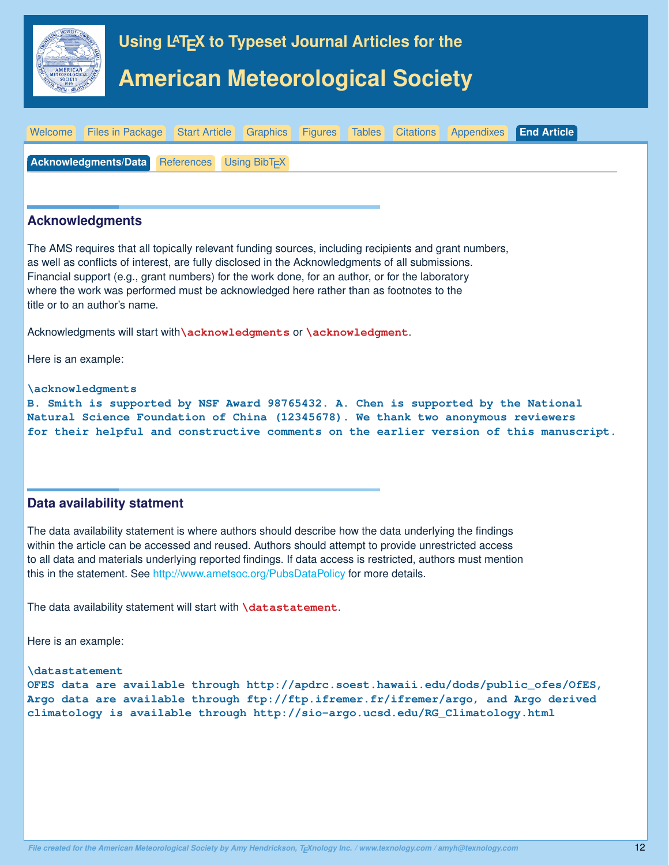<span id="page-11-0"></span>

# **Data availability statment**

The data availability statement is where authors should describe how the data underlying the findings within the article can be accessed and reused. Authors should attempt to provide unrestricted access to all data and materials underlying reported findings. If data access is restricted, authors must mention this in the statement. See <http://www.ametsoc.org/PubsDataPolicy> for more details.

The data availability statement will start with **\datastatement**.

Here is an example:

**\datastatement**

**OFES data are available through http://apdrc.soest.hawaii.edu/dods/public\_ofes/OfES, Argo data are available through ftp://ftp.ifremer.fr/ifremer/argo, and Argo derived climatology is available through http://sio-argo.ucsd.edu/RG\_Climatology.html**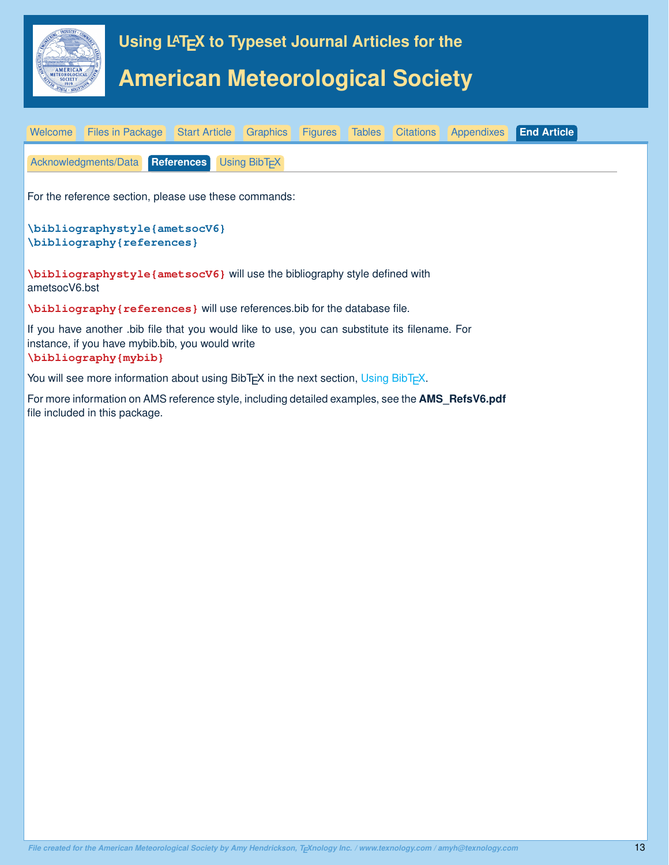<span id="page-12-0"></span>